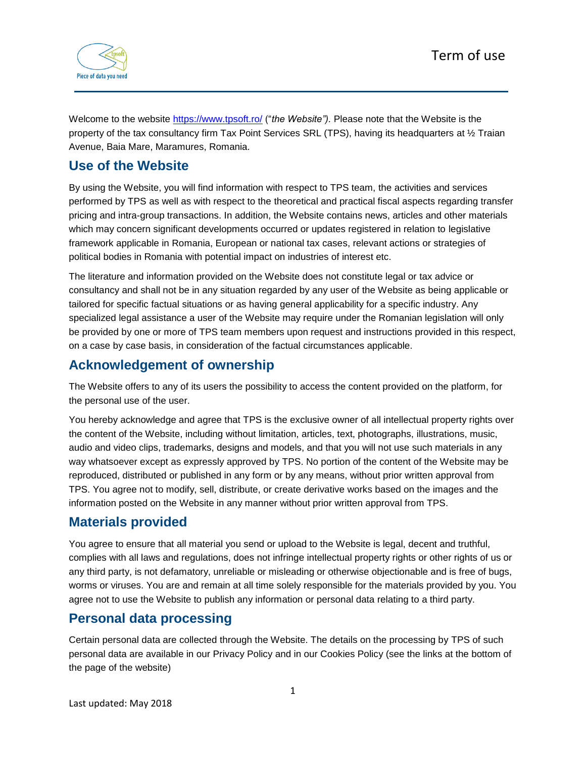

Welcome to the website <https://www.tpsoft.ro/> ("*the Website").* Please note that the Website is the property of the tax consultancy firm Tax Point Services SRL (TPS), having its headquarters at ½ Traian Avenue, Baia Mare, Maramures, Romania.

### **Use of the Website**

By using the Website, you will find information with respect to TPS team, the activities and services performed by TPS as well as with respect to the theoretical and practical fiscal aspects regarding transfer pricing and intra-group transactions. In addition, the Website contains news, articles and other materials which may concern significant developments occurred or updates registered in relation to legislative framework applicable in Romania, European or national tax cases, relevant actions or strategies of political bodies in Romania with potential impact on industries of interest etc.

The literature and information provided on the Website does not constitute legal or tax advice or consultancy and shall not be in any situation regarded by any user of the Website as being applicable or tailored for specific factual situations or as having general applicability for a specific industry. Any specialized legal assistance a user of the Website may require under the Romanian legislation will only be provided by one or more of TPS team members upon request and instructions provided in this respect, on a case by case basis, in consideration of the factual circumstances applicable.

## **Acknowledgement of ownership**

The Website offers to any of its users the possibility to access the content provided on the platform, for the personal use of the user.

You hereby acknowledge and agree that TPS is the exclusive owner of all intellectual property rights over the content of the Website, including without limitation, articles, text, photographs, illustrations, music, audio and video clips, trademarks, designs and models, and that you will not use such materials in any way whatsoever except as expressly approved by TPS. No portion of the content of the Website may be reproduced, distributed or published in any form or by any means, without prior written approval from TPS. You agree not to modify, sell, distribute, or create derivative works based on the images and the information posted on the Website in any manner without prior written approval from TPS.

## **Materials provided**

You agree to ensure that all material you send or upload to the Website is legal, decent and truthful, complies with all laws and regulations, does not infringe intellectual property rights or other rights of us or any third party, is not defamatory, unreliable or misleading or otherwise objectionable and is free of bugs, worms or viruses. You are and remain at all time solely responsible for the materials provided by you. You agree not to use the Website to publish any information or personal data relating to a third party.

# **Personal data processing**

Certain personal data are collected through the Website. The details on the processing by TPS of such personal data are available in our Privacy Policy and in our Cookies Policy (see the links at the bottom of the page of the website)